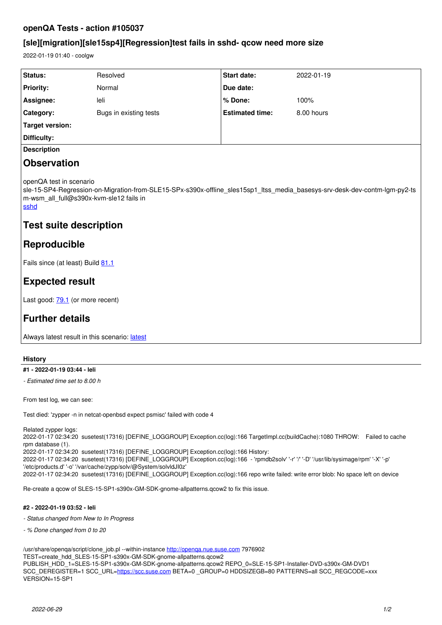## **openQA Tests - action #105037**

## **[sle][migration][sle15sp4][Regression]test fails in sshd- qcow need more size**

2022-01-19 01:40 - coolgw

| <b>Status:</b>                                                                                                                                                                                                    | Resolved               | Start date:            | 2022-01-19 |
|-------------------------------------------------------------------------------------------------------------------------------------------------------------------------------------------------------------------|------------------------|------------------------|------------|
| <b>Priority:</b>                                                                                                                                                                                                  | Normal                 | Due date:              |            |
| Assignee:                                                                                                                                                                                                         | leli                   | $%$ Done:              | 100%       |
| Category:                                                                                                                                                                                                         | Bugs in existing tests | <b>Estimated time:</b> | 8.00 hours |
| Target version:                                                                                                                                                                                                   |                        |                        |            |
| Difficulty:                                                                                                                                                                                                       |                        |                        |            |
| <b>Description</b>                                                                                                                                                                                                |                        |                        |            |
| <b>Observation</b>                                                                                                                                                                                                |                        |                        |            |
| openQA test in scenario<br>sle-15-SP4-Regression-on-Migration-from-SLE15-SPx-s390x-offline sles15sp1 ltss media basesys-srv-desk-dev-contm-lgm-py2-ts  <br>m-wsm all full@s390x-kvm-sle12 fails in<br><b>sshd</b> |                        |                        |            |
| Test suite description                                                                                                                                                                                            |                        |                        |            |

# **Reproducible**

Fails since (at least) Build [81.1](http://openqa.suse.de/tests/7978207)

# **Expected result**

Last good: **[79.1](http://openqa.suse.de/tests/7939275)** (or more recent)

# **Further details**

Always [latest](http://openqa.suse.de/tests/latest?arch=s390x&distri=sle&flavor=Regression-on-Migration-from-SLE15-SPx&machine=s390x-kvm-sle12&test=offline_sles15sp1_ltss_media_basesys-srv-desk-dev-contm-lgm-py2-tsm-wsm_all_full&version=15-SP4) result in this scenario: latest

### **History**

### **#1 - 2022-01-19 03:44 - leli**

*- Estimated time set to 8.00 h*

From test log, we can see:

Test died: 'zypper -n in netcat-openbsd expect psmisc' failed with code 4

Related zypper logs:

2022-01-17 02:34:20 susetest(17316) [DEFINE\_LOGGROUP] Exception.cc(log):166 TargetImpl.cc(buildCache):1080 THROW: Failed to cache rpm database (1).

2022-01-17 02:34:20 susetest(17316) [DEFINE\_LOGGROUP] Exception.cc(log):166 History:

2022-01-17 02:34:20 susetest(17316) [DEFINE\_LOGGROUP] Exception.cc(log):166 - 'rpmdb2solv' '-r' '/' '-D' '/usr/lib/sysimage/rpm' '-X' '-p' '/etc/products.d' '-o' '/var/cache/zypp/solv/@System/solvldJI0z'

2022-01-17 02:34:20 susetest(17316) [DEFINE\_LOGGROUP] Exception.cc(log):166 repo write failed: write error blob: No space left on device

Re-create a qcow of SLES-15-SP1-s390x-GM-SDK-gnome-allpatterns.qcow2 to fix this issue.

#### **#2 - 2022-01-19 03:52 - leli**

- *Status changed from New to In Progress*
- *% Done changed from 0 to 20*

/usr/share/openqa/script/clone\_job.pl --within-instance <http://openqa.nue.suse.com> 7976902 TEST=create\_hdd\_SLES-15-SP1-s390x-GM-SDK-gnome-allpatterns.qcow2 PUBLISH\_HDD\_1=SLES-15-SP1-s390x-GM-SDK-gnome-allpatterns.qcow2 REPO\_0=SLE-15-SP1-Installer-DVD-s390x-GM-DVD1 SCC\_DEREGISTER=1 SCC\_URL=<https://scc.suse.com> BETA=0 \_GROUP=0 HDDSIZEGB=80 PATTERNS=all SCC\_REGCODE=xxx VERSION=15-SP1